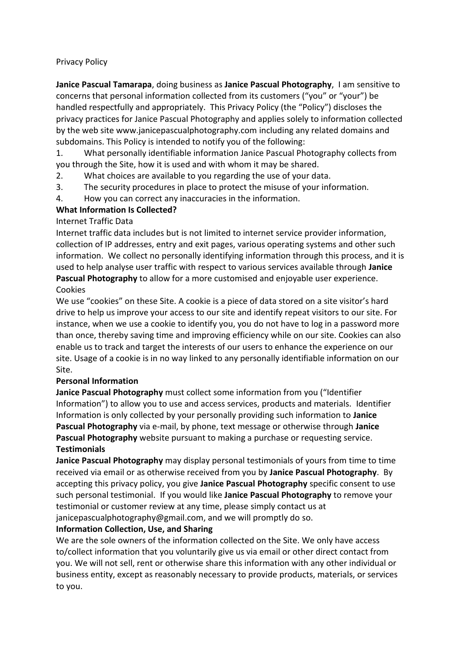## Privacy Policy

**Janice Pascual Tamarapa**, doing business as **Janice Pascual Photography**, I am sensitive to concerns that personal information collected from its customers ("you" or "your") be handled respectfully and appropriately. This Privacy Policy (the "Policy") discloses the privacy practices for Janice Pascual Photography and applies solely to information collected by the web site www.janicepascualphotography.com including any related domains and subdomains. This Policy is intended to notify you of the following:

1. What personally identifiable information Janice Pascual Photography collects from you through the Site, how it is used and with whom it may be shared.

- 2. What choices are available to you regarding the use of your data.
- 3. The security procedures in place to protect the misuse of your information.
- 4. How you can correct any inaccuracies in the information.

## **What Information Is Collected?**

## Internet Traffic Data

Internet traffic data includes but is not limited to internet service provider information, collection of IP addresses, entry and exit pages, various operating systems and other such information. We collect no personally identifying information through this process, and it is used to help analyse user traffic with respect to various services available through **Janice Pascual Photography** to allow for a more customised and enjoyable user experience. Cookies

We use "cookies" on these Site. A cookie is a piece of data stored on a site visitor's hard drive to help us improve your access to our site and identify repeat visitors to our site. For instance, when we use a cookie to identify you, you do not have to log in a password more than once, thereby saving time and improving efficiency while on our site. Cookies can also enable us to track and target the interests of our users to enhance the experience on our site. Usage of a cookie is in no way linked to any personally identifiable information on our Site.

## **Personal Information**

**Janice Pascual Photography** must collect some information from you ("Identifier Information") to allow you to use and access services, products and materials. Identifier Information is only collected by your personally providing such information to **Janice Pascual Photography** via e-mail, by phone, text message or otherwise through **Janice Pascual Photography** website pursuant to making a purchase or requesting service. **Testimonials**

**Janice Pascual Photography** may display personal testimonials of yours from time to time received via email or as otherwise received from you by **Janice Pascual Photography**. By accepting this privacy policy, you give **Janice Pascual Photography** specific consent to use such personal testimonial. If you would like **Janice Pascual Photography** to remove your testimonial or customer review at any time, please simply contact us at

janicepascualphotography@gmail.com, and we will promptly do so.

# **Information Collection, Use, and Sharing**

We are the sole owners of the information collected on the Site. We only have access to/collect information that you voluntarily give us via email or other direct contact from you. We will not sell, rent or otherwise share this information with any other individual or business entity, except as reasonably necessary to provide products, materials, or services to you.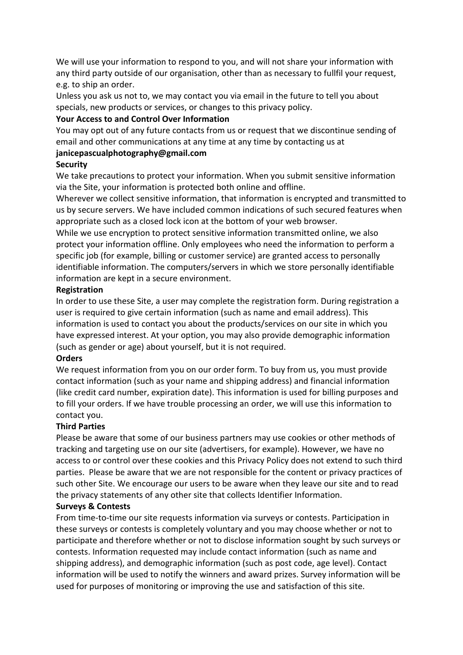We will use your information to respond to you, and will not share your information with any third party outside of our organisation, other than as necessary to fullfil your request, e.g. to ship an order.

Unless you ask us not to, we may contact you via email in the future to tell you about specials, new products or services, or changes to this privacy policy.

#### **Your Access to and Control Over Information**

You may opt out of any future contacts from us or request that we discontinue sending of email and other communications at any time at any time by contacting us at

## **janicepascualphotography@gmail.com**

#### **Security**

We take precautions to protect your information. When you submit sensitive information via the Site, your information is protected both online and offline.

Wherever we collect sensitive information, that information is encrypted and transmitted to us by secure servers. We have included common indications of such secured features when appropriate such as a closed lock icon at the bottom of your web browser.

While we use encryption to protect sensitive information transmitted online, we also protect your information offline. Only employees who need the information to perform a specific job (for example, billing or customer service) are granted access to personally identifiable information. The computers/servers in which we store personally identifiable information are kept in a secure environment.

## **Registration**

In order to use these Site, a user may complete the registration form. During registration a user is required to give certain information (such as name and email address). This information is used to contact you about the products/services on our site in which you have expressed interest. At your option, you may also provide demographic information (such as gender or age) about yourself, but it is not required.

## **Orders**

We request information from you on our order form. To buy from us, you must provide contact information (such as your name and shipping address) and financial information (like credit card number, expiration date). This information is used for billing purposes and to fill your orders. If we have trouble processing an order, we will use this information to contact you.

## **Third Parties**

Please be aware that some of our business partners may use cookies or other methods of tracking and targeting use on our site (advertisers, for example). However, we have no access to or control over these cookies and this Privacy Policy does not extend to such third parties. Please be aware that we are not responsible for the content or privacy practices of such other Site. We encourage our users to be aware when they leave our site and to read the privacy statements of any other site that collects Identifier Information.

## **Surveys & Contests**

From time-to-time our site requests information via surveys or contests. Participation in these surveys or contests is completely voluntary and you may choose whether or not to participate and therefore whether or not to disclose information sought by such surveys or contests. Information requested may include contact information (such as name and shipping address), and demographic information (such as post code, age level). Contact information will be used to notify the winners and award prizes. Survey information will be used for purposes of monitoring or improving the use and satisfaction of this site.